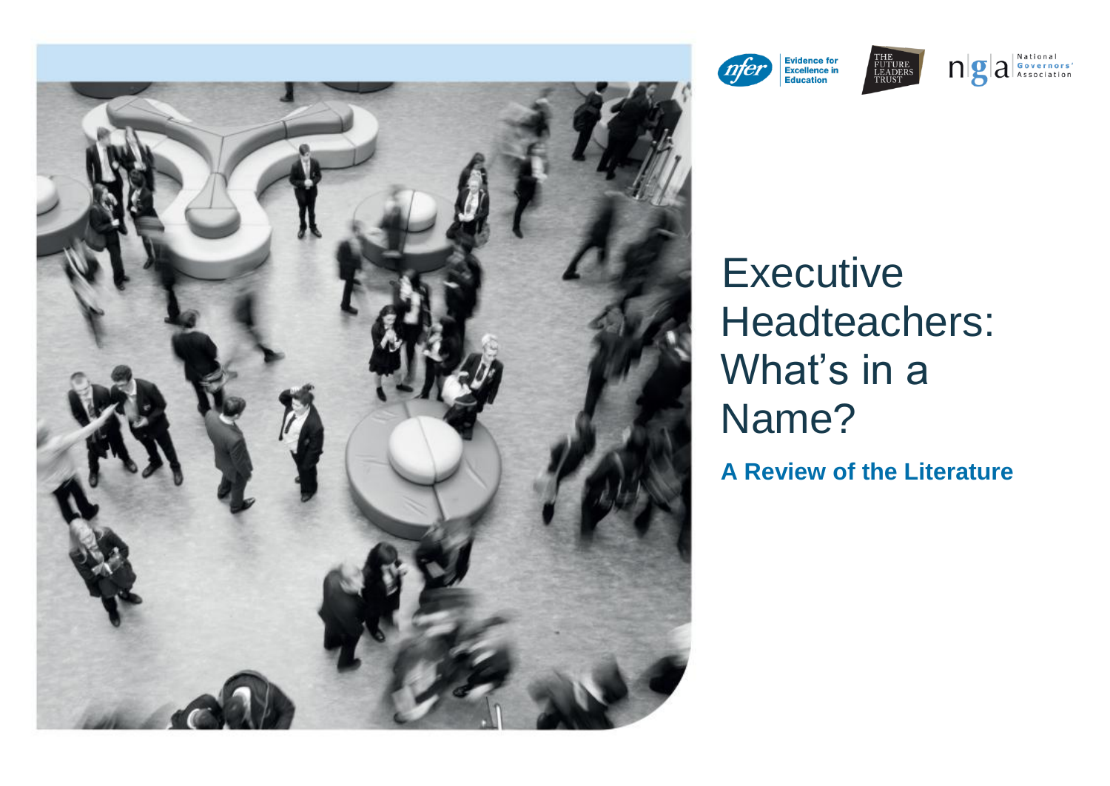

 $\log$   $a$ <sup>National</sup> Sovernors' **Evidence for<br>Excellence in<br>Education** nfer FUTURE<br>LEADERS<br>TRUST

# **Executive** Headteachers: What's in a Name? **A Review of the Literature**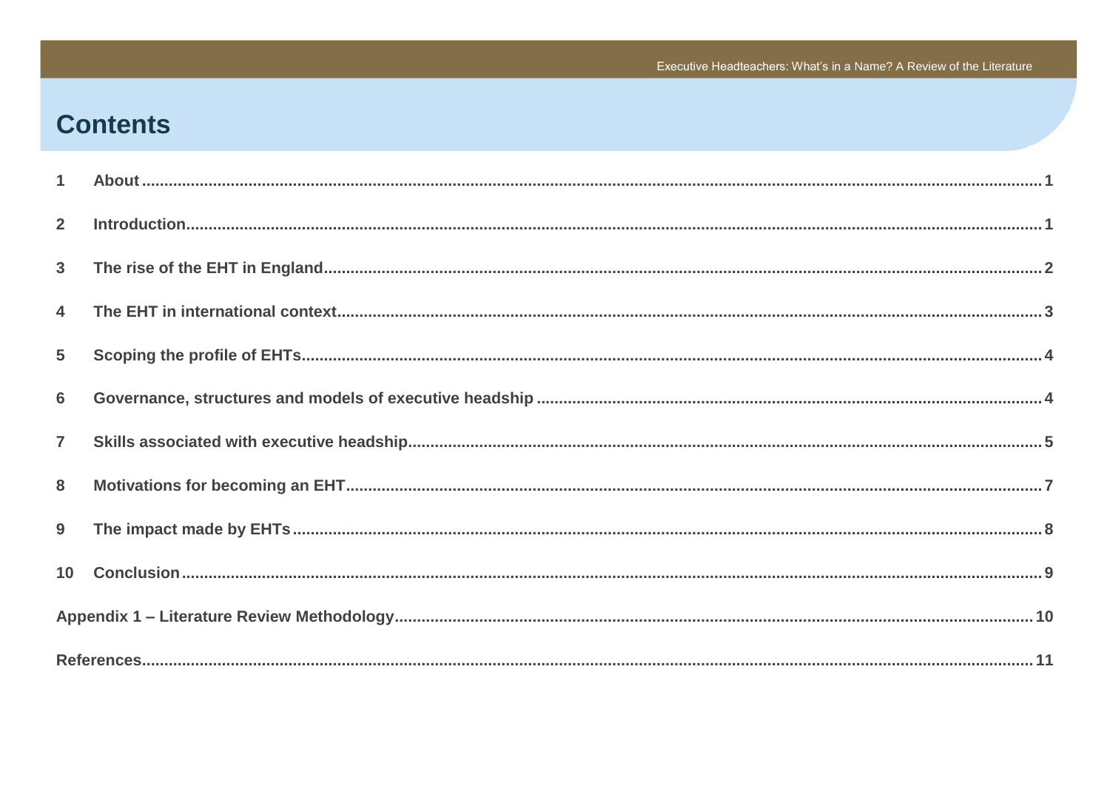# **Contents**

| $\mathbf{1}$    |  |  |
|-----------------|--|--|
| $\overline{2}$  |  |  |
| 3 <sup>1</sup>  |  |  |
| $\overline{4}$  |  |  |
| $5\phantom{.0}$ |  |  |
| $6\phantom{1}6$ |  |  |
| $\overline{7}$  |  |  |
| 8               |  |  |
| 9               |  |  |
|                 |  |  |
|                 |  |  |
|                 |  |  |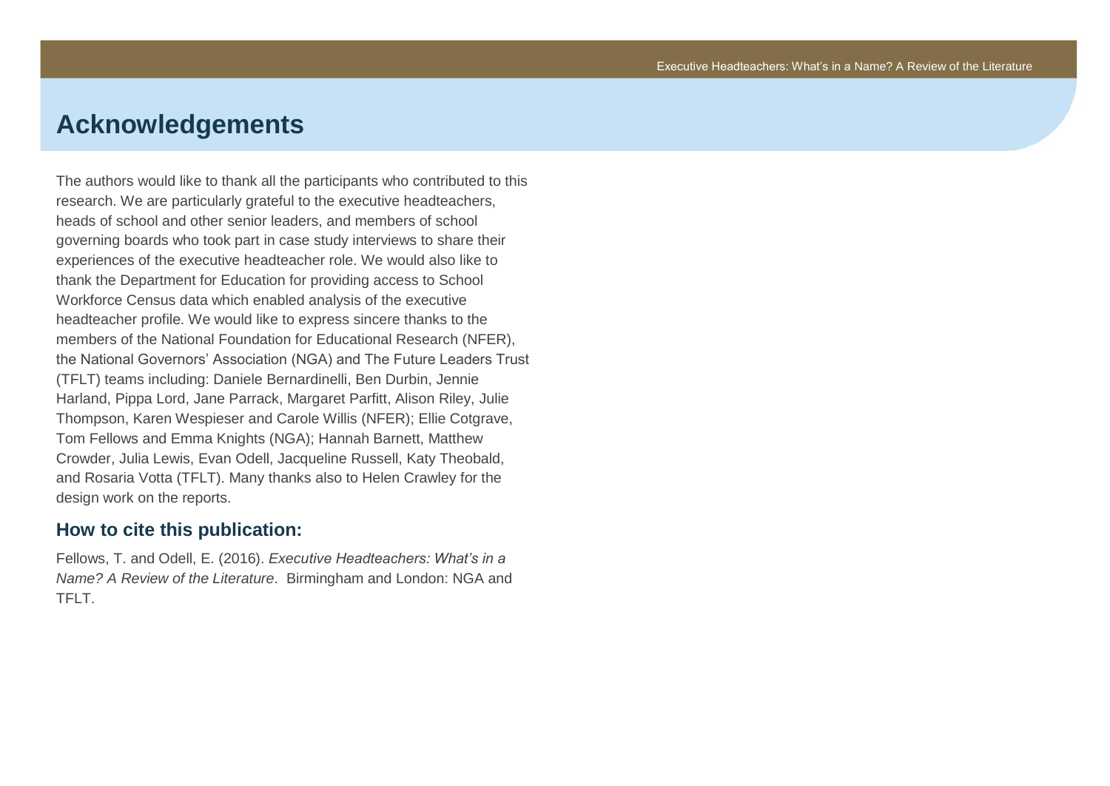# **Acknowledgements**

The authors would like to thank all the participants who contributed to this research. We are particularly grateful to the executive headteachers, heads of school and other senior leaders, and members of school governing boards who took part in case study interviews to share their experiences of the executive headteacher role. We would also like to thank the Department for Education for providing access to School Workforce Census data which enabled analysis of the executive headteacher profile. We would like to express sincere thanks to the members of the National Foundation for Educational Research (NFER), the National Governors' Association (NGA) and The Future Leaders Trust (TFLT) teams including: Daniele Bernardinelli, Ben Durbin, Jennie Harland, Pippa Lord, Jane Parrack, Margaret Parfitt, Alison Riley, Julie Thompson, Karen Wespieser and Carole Willis (NFER); Ellie Cotgrave, Tom Fellows and Emma Knights (NGA); Hannah Barnett, Matthew Crowder, Julia Lewis, Evan Odell, Jacqueline Russell, Katy Theobald, and Rosaria Votta (TFLT). Many thanks also to Helen Crawley for the design work on the reports.

#### **How to cite this publication:**

Fellows, T. and Odell, E. (2016). *Executive Headteachers: What's in a Name? A Review of the Literature*. Birmingham and London: NGA and TFLT.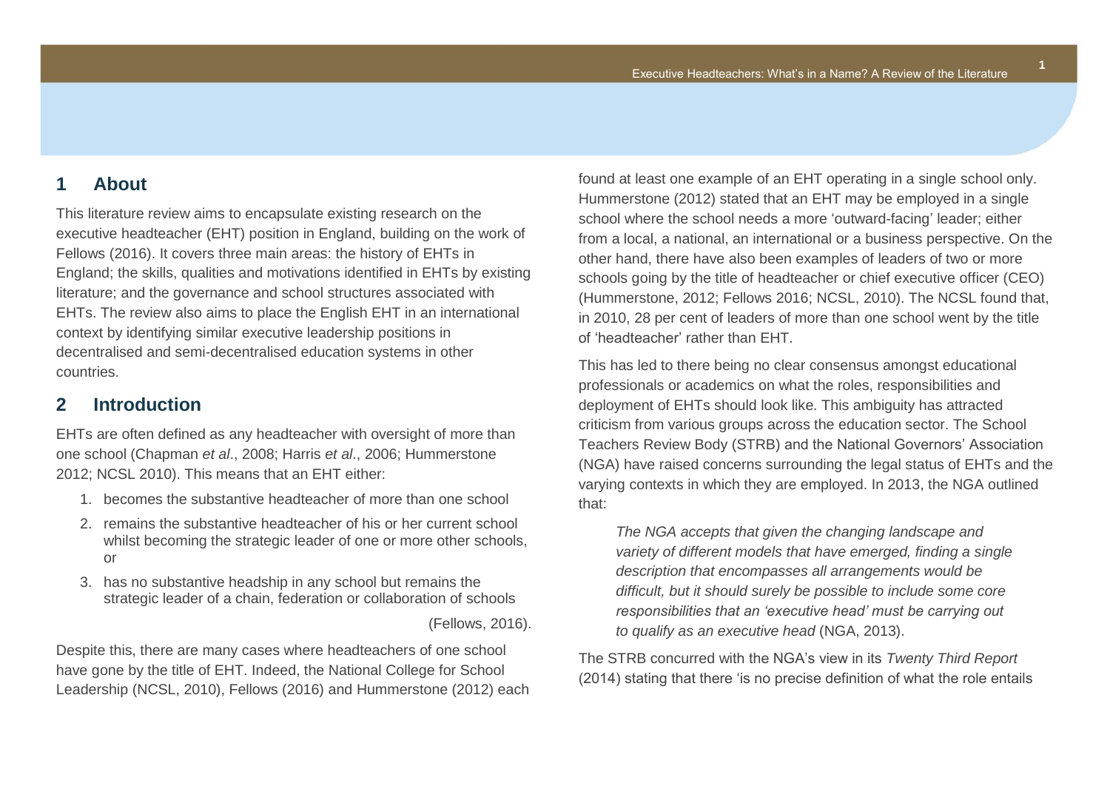## <span id="page-3-0"></span>**1 About**

This literature review aims to encapsulate existing research on the executive headteacher (EHT) position in England, building on the work of Fellows (2016). It covers three main areas: the history of EHTs in England; the skills, qualities and motivations identified in EHTs by existing literature; and the governance and school structures associated with EHTs. The review also aims to place the English EHT in an international context by identifying similar executive leadership positions in decentralised and semi-decentralised education systems in other countries.

## <span id="page-3-1"></span>**2 Introduction**

EHTs are often defined as any headteacher with oversight of more than one school (Chapman *et al*., 2008; Harris *et al*., 2006; Hummerstone 2012; NCSL 2010). This means that an EHT either:

- 1. becomes the substantive headteacher of more than one school
- 2. remains the substantive headteacher of his or her current school whilst becoming the strategic leader of one or more other schools, or
- 3. has no substantive headship in any school but remains the strategic leader of a chain, federation or collaboration of schools

(Fellows, 2016).

Despite this, there are many cases where headteachers of one school have gone by the title of EHT. Indeed, the National College for School Leadership (NCSL, 2010), Fellows (2016) and Hummerstone (2012) each found at least one example of an EHT operating in a single school only. Hummerstone (2012) stated that an EHT may be employed in a single school where the school needs a more 'outward-facing' leader; either from a local, a national, an international or a business perspective. On the other hand, there have also been examples of leaders of two or more schools going by the title of headteacher or chief executive officer (CEO) (Hummerstone, 2012; Fellows 2016; NCSL, 2010). The NCSL found that, in 2010, 28 per cent of leaders of more than one school went by the title of 'headteacher' rather than EHT.

This has led to there being no clear consensus amongst educational professionals or academics on what the roles, responsibilities and deployment of EHTs should look like. This ambiguity has attracted criticism from various groups across the education sector. The School Teachers Review Body (STRB) and the National Governors' Association (NGA) have raised concerns surrounding the legal status of EHTs and the varying contexts in which they are employed. In 2013, the NGA outlined that:

*The NGA accepts that given the changing landscape and variety of different models that have emerged, finding a single description that encompasses all arrangements would be difficult, but it should surely be possible to include some core responsibilities that an 'executive head' must be carrying out to qualify as an executive head* (NGA, 2013).

The STRB concurred with the NGA's view in its *Twenty Third Report* (2014) stating that there 'is no precise definition of what the role entails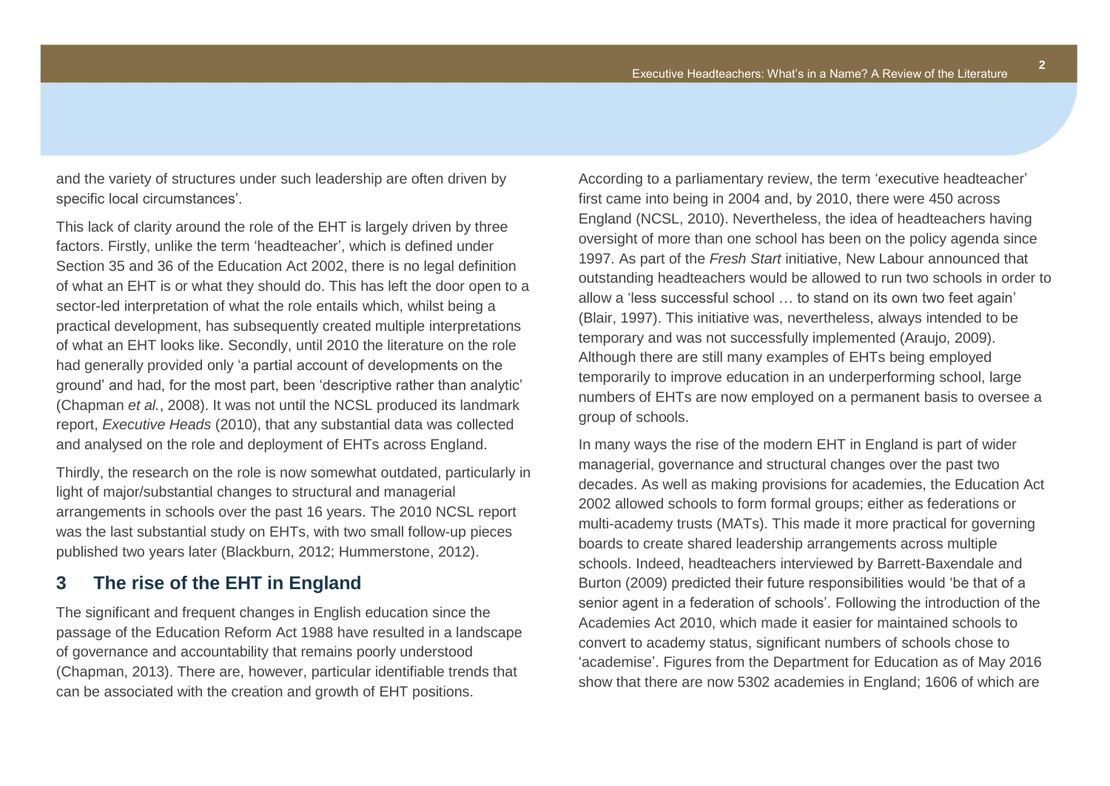and the variety of structures under such leadership are often driven by specific local circumstances'.

This lack of clarity around the role of the EHT is largely driven by three factors. Firstly, unlike the term 'headteacher', which is defined under Section 35 and 36 of the Education Act 2002, there is no legal definition of what an EHT is or what they should do. This has left the door open to a sector-led interpretation of what the role entails which, whilst being a practical development, has subsequently created multiple interpretations of what an EHT looks like. Secondly, until 2010 the literature on the role had generally provided only 'a partial account of developments on the ground' and had, for the most part, been 'descriptive rather than analytic' (Chapman *et al.*, 2008). It was not until the NCSL produced its landmark report, *Executive Heads* (2010), that any substantial data was collected and analysed on the role and deployment of EHTs across England.

Thirdly, the research on the role is now somewhat outdated, particularly in light of major/substantial changes to structural and managerial arrangements in schools over the past 16 years. The 2010 NCSL report was the last substantial study on EHTs, with two small follow-up pieces published two years later (Blackburn, 2012; Hummerstone, 2012).

#### <span id="page-4-0"></span>**3 The rise of the EHT in England**

The significant and frequent changes in English education since the passage of the Education Reform Act 1988 have resulted in a landscape of governance and accountability that remains poorly understood (Chapman, 2013). There are, however, particular identifiable trends that can be associated with the creation and growth of EHT positions.

According to a parliamentary review, the term 'executive headteacher' first came into being in 2004 and, by 2010, there were 450 across England (NCSL, 2010). Nevertheless, the idea of headteachers having oversight of more than one school has been on the policy agenda since 1997. As part of the *Fresh Start* initiative, New Labour announced that outstanding headteachers would be allowed to run two schools in order to allow a 'less successful school … to stand on its own two feet again' (Blair, 1997). This initiative was, nevertheless, always intended to be temporary and was not successfully implemented (Araujo, 2009). Although there are still many examples of EHTs being employed temporarily to improve education in an underperforming school, large numbers of EHTs are now employed on a permanent basis to oversee a group of schools.

In many ways the rise of the modern EHT in England is part of wider managerial, governance and structural changes over the past two decades. As well as making provisions for academies, the Education Act 2002 allowed schools to form formal groups; either as federations or multi-academy trusts (MATs). This made it more practical for governing boards to create shared leadership arrangements across multiple schools. Indeed, headteachers interviewed by Barrett-Baxendale and Burton (2009) predicted their future responsibilities would 'be that of a senior agent in a federation of schools'. Following the introduction of the Academies Act 2010, which made it easier for maintained schools to convert to academy status, significant numbers of schools chose to 'academise'. Figures from the Department for Education as of May 2016 show that there are now 5302 academies in England; 1606 of which are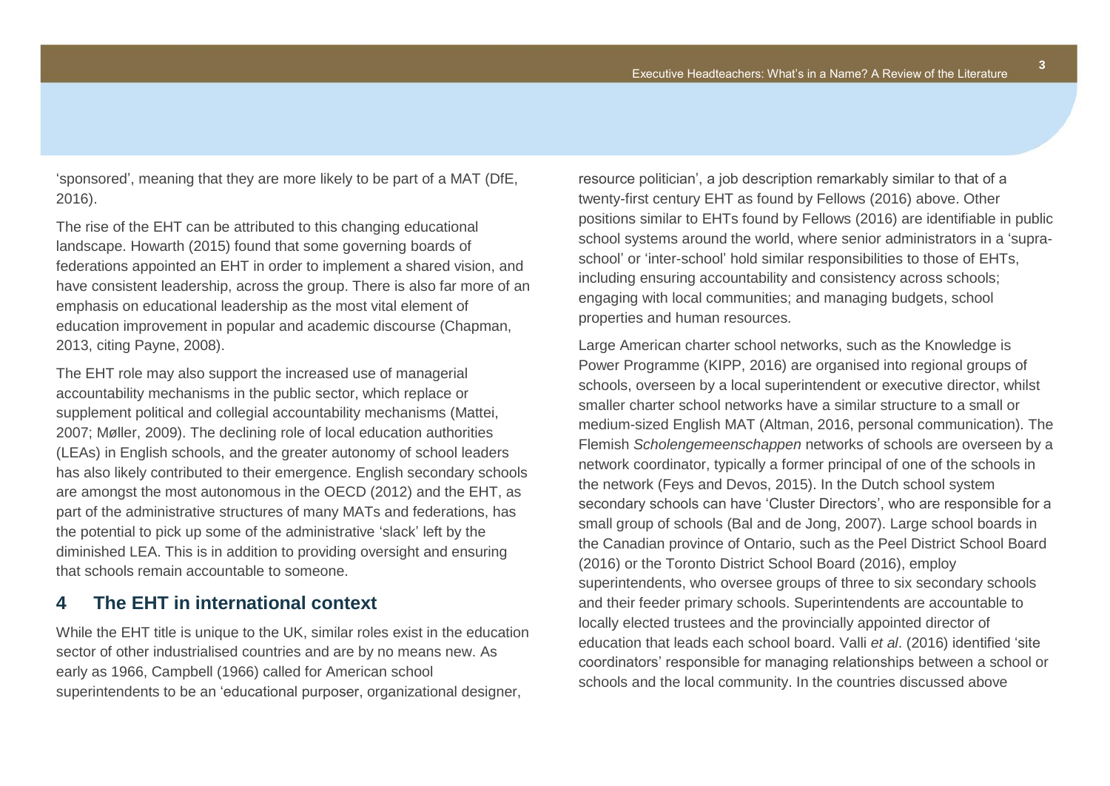'sponsored', meaning that they are more likely to be part of a MAT (DfE, 2016).

The rise of the EHT can be attributed to this changing educational landscape. Howarth (2015) found that some governing boards of federations appointed an EHT in order to implement a shared vision, and have consistent leadership, across the group. There is also far more of an emphasis on educational leadership as the most vital element of education improvement in popular and academic discourse (Chapman, 2013, citing Payne, 2008).

The EHT role may also support the increased use of managerial accountability mechanisms in the public sector, which replace or supplement political and collegial accountability mechanisms (Mattei, 2007; Møller, 2009). The declining role of local education authorities (LEAs) in English schools, and the greater autonomy of school leaders has also likely contributed to their emergence. English secondary schools are amongst the most autonomous in the OECD (2012) and the EHT, as part of the administrative structures of many MATs and federations, has the potential to pick up some of the administrative 'slack' left by the diminished LEA. This is in addition to providing oversight and ensuring that schools remain accountable to someone.

## <span id="page-5-0"></span>**4 The EHT in international context**

While the EHT title is unique to the UK, similar roles exist in the education sector of other industrialised countries and are by no means new. As early as 1966, Campbell (1966) called for American school superintendents to be an 'educational purposer, organizational designer,

resource politician', a job description remarkably similar to that of a twenty-first century EHT as found by Fellows (2016) above. Other positions similar to EHTs found by Fellows (2016) are identifiable in public school systems around the world, where senior administrators in a 'supraschool' or 'inter-school' hold similar responsibilities to those of EHTs, including ensuring accountability and consistency across schools; engaging with local communities; and managing budgets, school properties and human resources.

Large American charter school networks, such as the Knowledge is Power Programme (KIPP, 2016) are organised into regional groups of schools, overseen by a local superintendent or executive director, whilst smaller charter school networks have a similar structure to a small or medium-sized English MAT (Altman, 2016, personal communication). The Flemish *Scholengemeenschappen* networks of schools are overseen by a network coordinator, typically a former principal of one of the schools in the network (Feys and Devos, 2015). In the Dutch school system secondary schools can have 'Cluster Directors', who are responsible for a small group of schools (Bal and de Jong, 2007). Large school boards in the Canadian province of Ontario, such as the Peel District School Board (2016) or the Toronto District School Board (2016), employ superintendents, who oversee groups of three to six secondary schools and their feeder primary schools. Superintendents are accountable to locally elected trustees and the provincially appointed director of education that leads each school board. Valli *et al*. (2016) identified 'site coordinators' responsible for managing relationships between a school or schools and the local community. In the countries discussed above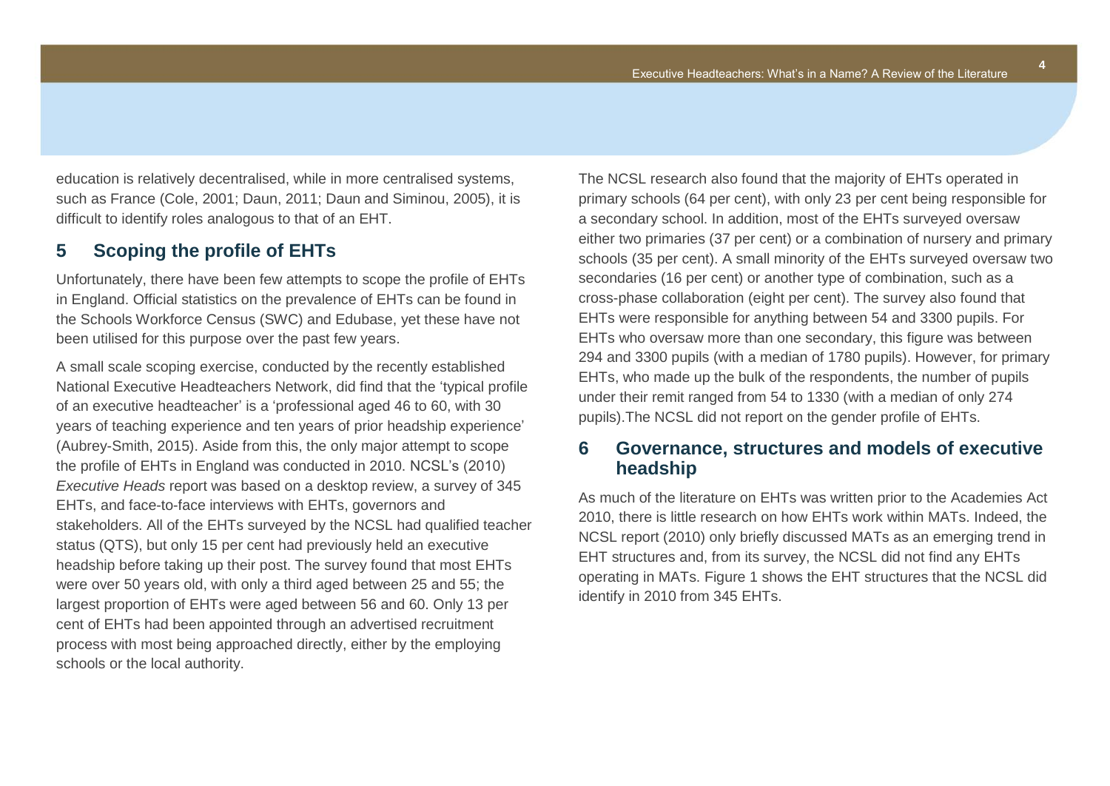**4**

education is relatively decentralised, while in more centralised systems, such as France (Cole, 2001; Daun, 2011; Daun and Siminou, 2005), it is difficult to identify roles analogous to that of an EHT.

#### <span id="page-6-0"></span>**5 Scoping the profile of EHTs**

Unfortunately, there have been few attempts to scope the profile of EHTs in England. Official statistics on the prevalence of EHTs can be found in the Schools Workforce Census (SWC) and Edubase, yet these have not been utilised for this purpose over the past few years.

A small scale scoping exercise, conducted by the recently established National Executive Headteachers Network, did find that the 'typical profile of an executive headteacher' is a 'professional aged 46 to 60, with 30 years of teaching experience and ten years of prior headship experience' (Aubrey-Smith, 2015). Aside from this, the only major attempt to scope the profile of EHTs in England was conducted in 2010. NCSL's (2010) *Executive Heads* report was based on a desktop review, a survey of 345 EHTs, and face-to-face interviews with EHTs, governors and stakeholders. All of the EHTs surveyed by the NCSL had qualified teacher status (QTS), but only 15 per cent had previously held an executive headship before taking up their post. The survey found that most EHTs were over 50 years old, with only a third aged between 25 and 55; the largest proportion of EHTs were aged between 56 and 60. Only 13 per cent of EHTs had been appointed through an advertised recruitment process with most being approached directly, either by the employing schools or the local authority.

The NCSL research also found that the majority of EHTs operated in primary schools (64 per cent), with only 23 per cent being responsible for a secondary school. In addition, most of the EHTs surveyed oversaw either two primaries (37 per cent) or a combination of nursery and primary schools (35 per cent). A small minority of the EHTs surveyed oversaw two secondaries (16 per cent) or another type of combination, such as a cross-phase collaboration (eight per cent). The survey also found that EHTs were responsible for anything between 54 and 3300 pupils. For EHTs who oversaw more than one secondary, this figure was between 294 and 3300 pupils (with a median of 1780 pupils). However, for primary EHTs, who made up the bulk of the respondents, the number of pupils under their remit ranged from 54 to 1330 (with a median of only 274 pupils).The NCSL did not report on the gender profile of EHTs.

#### <span id="page-6-1"></span>**6 Governance, structures and models of executive headship**

As much of the literature on EHTs was written prior to the Academies Act 2010, there is little research on how EHTs work within MATs. Indeed, the NCSL report (2010) only briefly discussed MATs as an emerging trend in EHT structures and, from its survey, the NCSL did not find any EHTs operating in MATs. Figure 1 shows the EHT structures that the NCSL did identify in 2010 from 345 EHTs.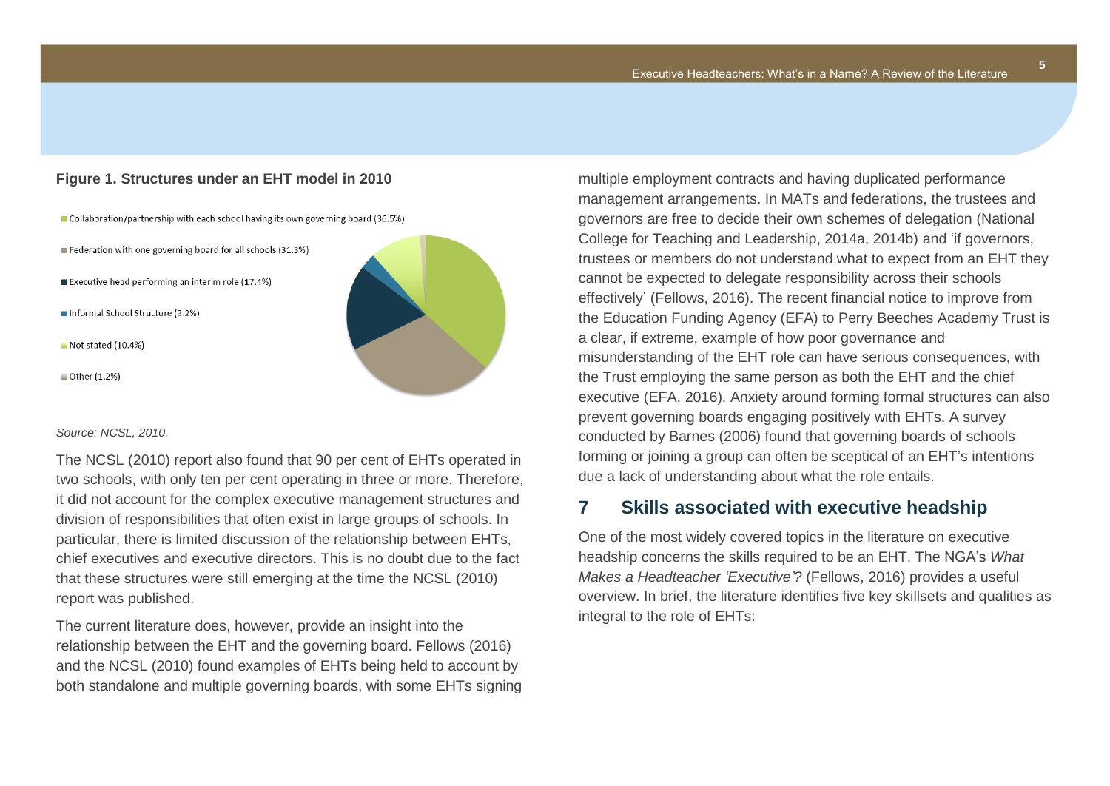#### **Figure 1. Structures under an EHT model in 2010**

- Collaboration/partnership with each school having its own governing board (36.5%)
- Federation with one governing board for all schools (31.3%)
- Executive head performing an interim role (17.4%)
- Informal School Structure (3.2%)
- Not stated (10.4%)
- Other (1.2%)



#### *Source: NCSL, 2010.*

The NCSL (2010) report also found that 90 per cent of EHTs operated in two schools, with only ten per cent operating in three or more. Therefore, it did not account for the complex executive management structures and division of responsibilities that often exist in large groups of schools. In particular, there is limited discussion of the relationship between EHTs, chief executives and executive directors. This is no doubt due to the fact that these structures were still emerging at the time the NCSL (2010) report was published.

The current literature does, however, provide an insight into the relationship between the EHT and the governing board. Fellows (2016) and the NCSL (2010) found examples of EHTs being held to account by both standalone and multiple governing boards, with some EHTs signing multiple employment contracts and having duplicated performance management arrangements. In MATs and federations, the trustees and governors are free to decide their own schemes of delegation (National College for Teaching and Leadership, 2014a, 2014b) and 'if governors, trustees or members do not understand what to expect from an EHT they cannot be expected to delegate responsibility across their schools effectively' (Fellows, 2016). The recent financial notice to improve from the Education Funding Agency (EFA) to Perry Beeches Academy Trust is a clear, if extreme, example of how poor governance and misunderstanding of the EHT role can have serious consequences, with the Trust employing the same person as both the EHT and the chief executive (EFA, 2016). Anxiety around forming formal structures can also prevent governing boards engaging positively with EHTs. A survey conducted by Barnes (2006) found that governing boards of schools forming or joining a group can often be sceptical of an EHT's intentions due a lack of understanding about what the role entails.

#### <span id="page-7-0"></span>**7 Skills associated with executive headship**

One of the most widely covered topics in the literature on executive headship concerns the skills required to be an EHT. The NGA's *What Makes a Headteacher 'Executive'?* (Fellows, 2016) provides a useful overview. In brief, the literature identifies five key skillsets and qualities as integral to the role of EHTs: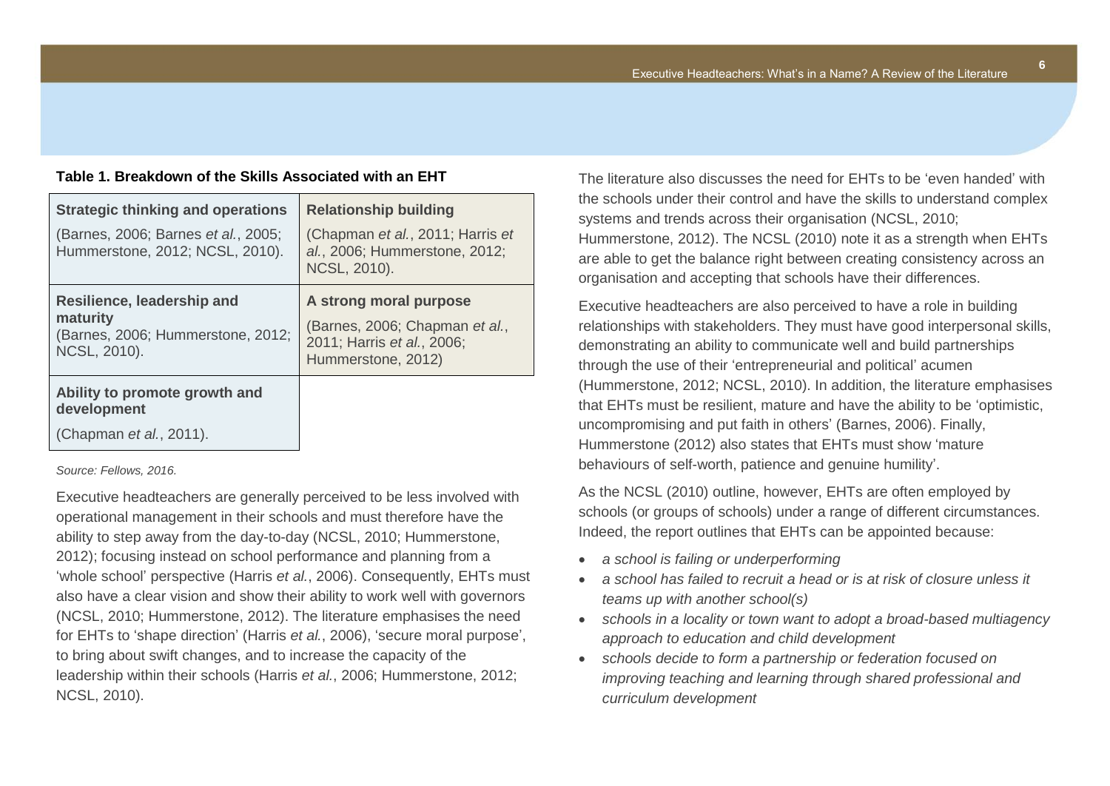**6**

#### **Table 1. Breakdown of the Skills Associated with an EHT**

| (Chapman et al., 2011; Harris et<br>al., 2006; Hummerstone, 2012;                                            |
|--------------------------------------------------------------------------------------------------------------|
| NCSL, 2010).                                                                                                 |
| A strong moral purpose<br>(Barnes, 2006; Chapman et al.,<br>2011; Harris et al., 2006;<br>Hummerstone, 2012) |
|                                                                                                              |
|                                                                                                              |

*Source: Fellows, 2016.*

Executive headteachers are generally perceived to be less involved with operational management in their schools and must therefore have the ability to step away from the day-to-day (NCSL, 2010; Hummerstone, 2012); focusing instead on school performance and planning from a 'whole school' perspective (Harris *et al.*, 2006). Consequently, EHTs must also have a clear vision and show their ability to work well with governors (NCSL, 2010; Hummerstone, 2012). The literature emphasises the need for EHTs to 'shape direction' (Harris *et al.*, 2006), 'secure moral purpose', to bring about swift changes, and to increase the capacity of the leadership within their schools (Harris *et al.*, 2006; Hummerstone, 2012; NCSL, 2010).

The literature also discusses the need for EHTs to be 'even handed' with the schools under their control and have the skills to understand complex systems and trends across their organisation (NCSL, 2010; Hummerstone, 2012). The NCSL (2010) note it as a strength when EHTs are able to get the balance right between creating consistency across an organisation and accepting that schools have their differences.

Executive headteachers are also perceived to have a role in building relationships with stakeholders. They must have good interpersonal skills, demonstrating an ability to communicate well and build partnerships through the use of their 'entrepreneurial and political' acumen (Hummerstone, 2012; NCSL, 2010). In addition, the literature emphasises that EHTs must be resilient, mature and have the ability to be 'optimistic, uncompromising and put faith in others' (Barnes, 2006). Finally, Hummerstone (2012) also states that EHTs must show 'mature behaviours of self-worth, patience and genuine humility'.

As the NCSL (2010) outline, however, EHTs are often employed by schools (or groups of schools) under a range of different circumstances. Indeed, the report outlines that EHTs can be appointed because:

- *a school is failing or underperforming*
- *a school has failed to recruit a head or is at risk of closure unless it teams up with another school(s)*
- *schools in a locality or town want to adopt a broad-based multiagency approach to education and child development*
- *schools decide to form a partnership or federation focused on improving teaching and learning through shared professional and curriculum development*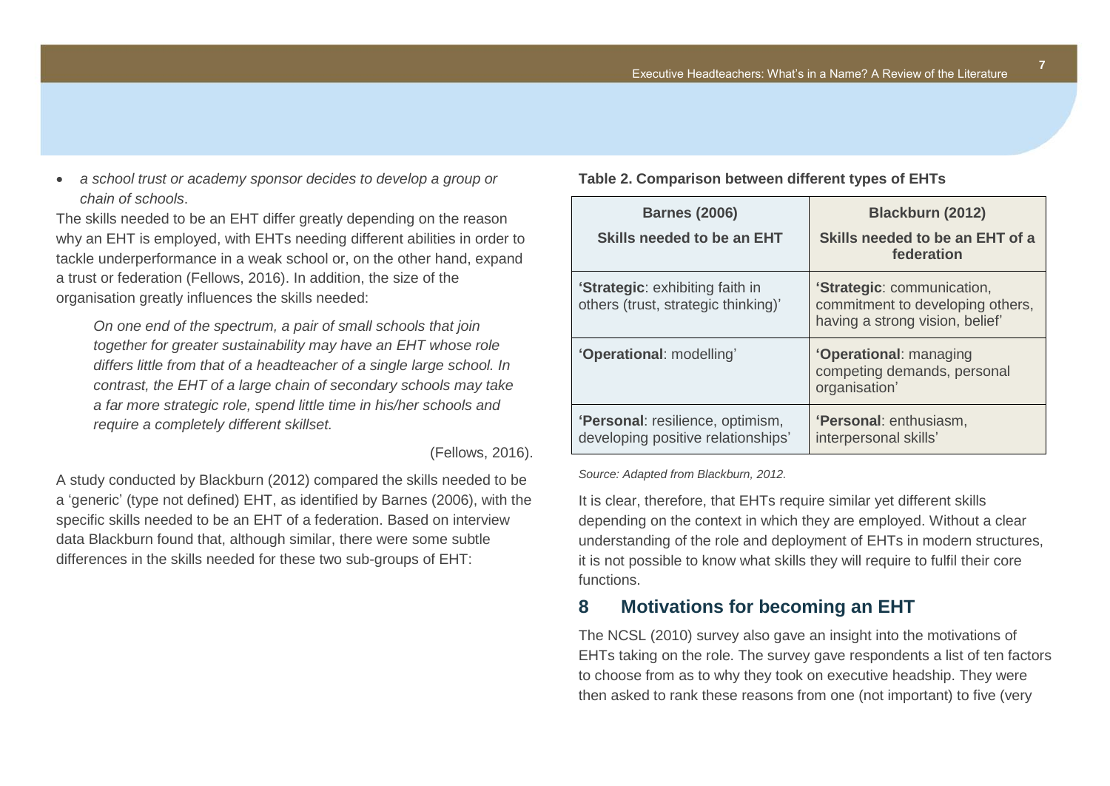

The skills needed to be an EHT differ greatly depending on the reason why an EHT is employed, with EHTs needing different abilities in order to tackle underperformance in a weak school or, on the other hand, expand a trust or federation (Fellows, 2016). In addition, the size of the organisation greatly influences the skills needed:

*On one end of the spectrum, a pair of small schools that join together for greater sustainability may have an EHT whose role differs little from that of a headteacher of a single large school. In contrast, the EHT of a large chain of secondary schools may take a far more strategic role, spend little time in his/her schools and require a completely different skillset.*

(Fellows, 2016).

A study conducted by Blackburn (2012) compared the skills needed to be a 'generic' (type not defined) EHT, as identified by Barnes (2006), with the specific skills needed to be an EHT of a federation. Based on interview data Blackburn found that, although similar, there were some subtle differences in the skills needed for these two sub-groups of EHT:

**Table 2. Comparison between different types of EHTs**

| <b>Barnes (2006)</b><br>Skills needed to be an EHT                           | Blackburn (2012)<br>Skills needed to be an EHT of a<br>federation                                 |
|------------------------------------------------------------------------------|---------------------------------------------------------------------------------------------------|
| <b>Strategic:</b> exhibiting faith in<br>others (trust, strategic thinking)' | 'Strategic: communication,<br>commitment to developing others,<br>having a strong vision, belief' |
| 'Operational: modelling'                                                     | 'Operational: managing<br>competing demands, personal<br>organisation'                            |
| 'Personal: resilience, optimism,<br>developing positive relationships'       | <b>'Personal:</b> enthusiasm,<br>interpersonal skills'                                            |

*Source: Adapted from Blackburn, 2012.* 

It is clear, therefore, that EHTs require similar yet different skills depending on the context in which they are employed. Without a clear understanding of the role and deployment of EHTs in modern structures, it is not possible to know what skills they will require to fulfil their core functions.

## <span id="page-9-0"></span>**8 Motivations for becoming an EHT**

The NCSL (2010) survey also gave an insight into the motivations of EHTs taking on the role. The survey gave respondents a list of ten factors to choose from as to why they took on executive headship. They were then asked to rank these reasons from one (not important) to five (very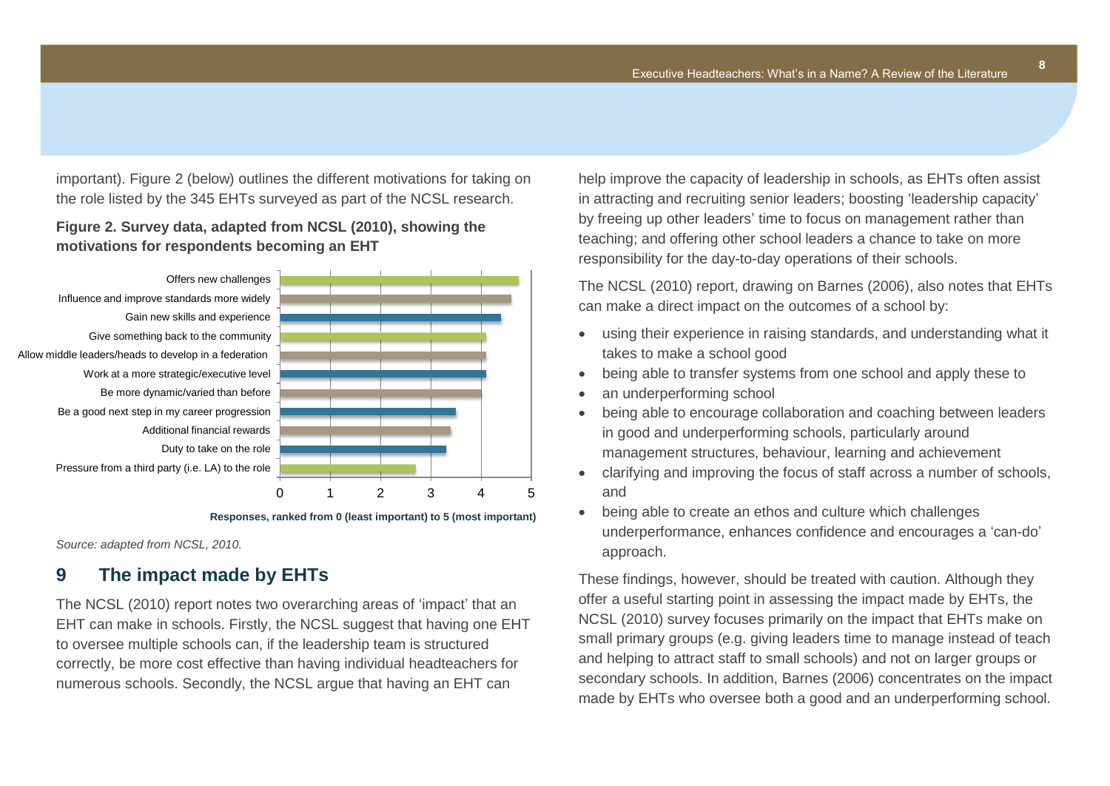important). Figure 2 (below) outlines the different motivations for taking on the role listed by the 345 EHTs surveyed as part of the NCSL research.

#### **Figure 2. Survey data, adapted from NCSL (2010), showing the motivations for respondents becoming an EHT**



**Responses, ranked from 0 (least important) to 5 (most important)**

*Source: adapted from NCSL, 2010.* 

## <span id="page-10-0"></span>**9 The impact made by EHTs**

The NCSL (2010) report notes two overarching areas of 'impact' that an EHT can make in schools. Firstly, the NCSL suggest that having one EHT to oversee multiple schools can, if the leadership team is structured correctly, be more cost effective than having individual headteachers for numerous schools. Secondly, the NCSL argue that having an EHT can

help improve the capacity of leadership in schools, as EHTs often assist in attracting and recruiting senior leaders; boosting 'leadership capacity' by freeing up other leaders' time to focus on management rather than teaching; and offering other school leaders a chance to take on more responsibility for the day-to-day operations of their schools.

The NCSL (2010) report, drawing on Barnes (2006), also notes that EHTs can make a direct impact on the outcomes of a school by:

- using their experience in raising standards, and understanding what it takes to make a school good
- being able to transfer systems from one school and apply these to
- an underperforming school
- being able to encourage collaboration and coaching between leaders in good and underperforming schools, particularly around management structures, behaviour, learning and achievement
- clarifying and improving the focus of staff across a number of schools, and
- being able to create an ethos and culture which challenges underperformance, enhances confidence and encourages a 'can-do' approach.

These findings, however, should be treated with caution. Although they offer a useful starting point in assessing the impact made by EHTs, the NCSL (2010) survey focuses primarily on the impact that EHTs make on small primary groups (e.g. giving leaders time to manage instead of teach and helping to attract staff to small schools) and not on larger groups or secondary schools. In addition, Barnes (2006) concentrates on the impact made by EHTs who oversee both a good and an underperforming school.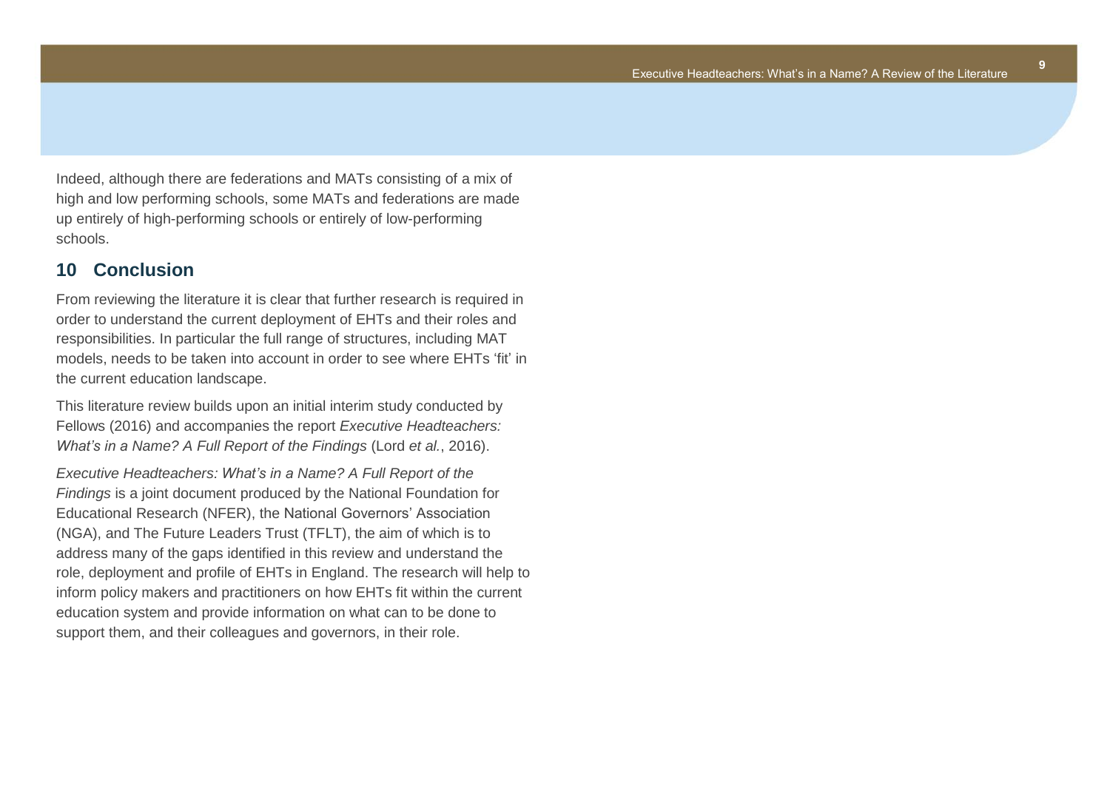**9**

Indeed, although there are federations and MATs consisting of a mix of high and low performing schools, some MATs and federations are made up entirely of high-performing schools or entirely of low-performing schools.

#### <span id="page-11-0"></span>**10 Conclusion**

From reviewing the literature it is clear that further research is required in order to understand the current deployment of EHTs and their roles and responsibilities. In particular the full range of structures, including MAT models, needs to be taken into account in order to see where EHTs 'fit' in the current education landscape.

This literature review builds upon an initial interim study conducted by Fellows (2016) and accompanies the report *Executive Headteachers: What's in a Name? A Full Report of the Findings* (Lord *et al.*, 2016).

*Executive Headteachers: What's in a Name? A Full Report of the Findings* is a joint document produced by the National Foundation for Educational Research (NFER), the National Governors' Association (NGA), and The Future Leaders Trust (TFLT), the aim of which is to address many of the gaps identified in this review and understand the role, deployment and profile of EHTs in England. The research will help to inform policy makers and practitioners on how EHTs fit within the current education system and provide information on what can to be done to support them, and their colleagues and governors, in their role.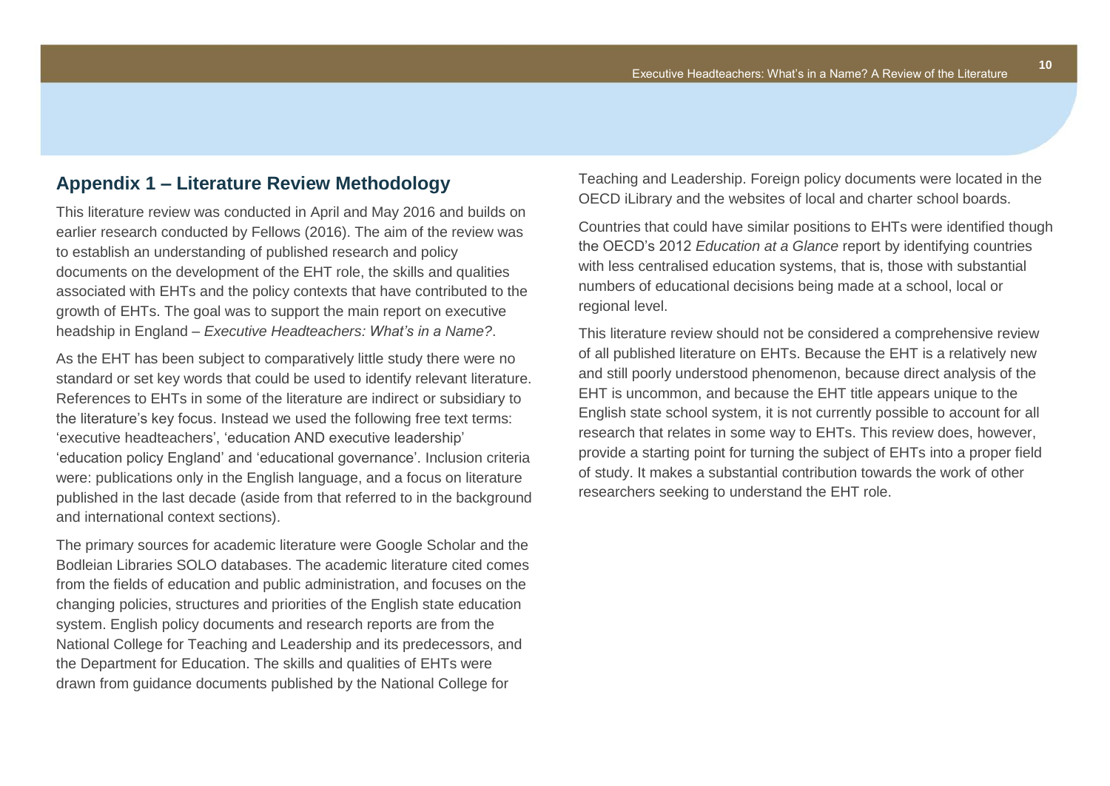## <span id="page-12-0"></span>**Appendix 1 – Literature Review Methodology**

This literature review was conducted in April and May 2016 and builds on earlier research conducted by Fellows (2016). The aim of the review was to establish an understanding of published research and policy documents on the development of the EHT role, the skills and qualities associated with EHTs and the policy contexts that have contributed to the growth of EHTs. The goal was to support the main report on executive headship in England – *Executive Headteachers: What's in a Name?*.

As the EHT has been subject to comparatively little study there were no standard or set key words that could be used to identify relevant literature. References to EHTs in some of the literature are indirect or subsidiary to the literature's key focus. Instead we used the following free text terms: 'executive headteachers', 'education AND executive leadership' 'education policy England' and 'educational governance'. Inclusion criteria were: publications only in the English language, and a focus on literature published in the last decade (aside from that referred to in the background and international context sections).

The primary sources for academic literature were Google Scholar and the Bodleian Libraries SOLO databases. The academic literature cited comes from the fields of education and public administration, and focuses on the changing policies, structures and priorities of the English state education system. English policy documents and research reports are from the National College for Teaching and Leadership and its predecessors, and the Department for Education. The skills and qualities of EHTs were drawn from guidance documents published by the National College for

Teaching and Leadership. Foreign policy documents were located in the OECD iLibrary and the websites of local and charter school boards.

Countries that could have similar positions to EHTs were identified though the OECD's 2012 *Education at a Glance* report by identifying countries with less centralised education systems, that is, those with substantial numbers of educational decisions being made at a school, local or regional level.

This literature review should not be considered a comprehensive review of all published literature on EHTs. Because the EHT is a relatively new and still poorly understood phenomenon, because direct analysis of the EHT is uncommon, and because the EHT title appears unique to the English state school system, it is not currently possible to account for all research that relates in some way to EHTs. This review does, however, provide a starting point for turning the subject of EHTs into a proper field of study. It makes a substantial contribution towards the work of other researchers seeking to understand the EHT role.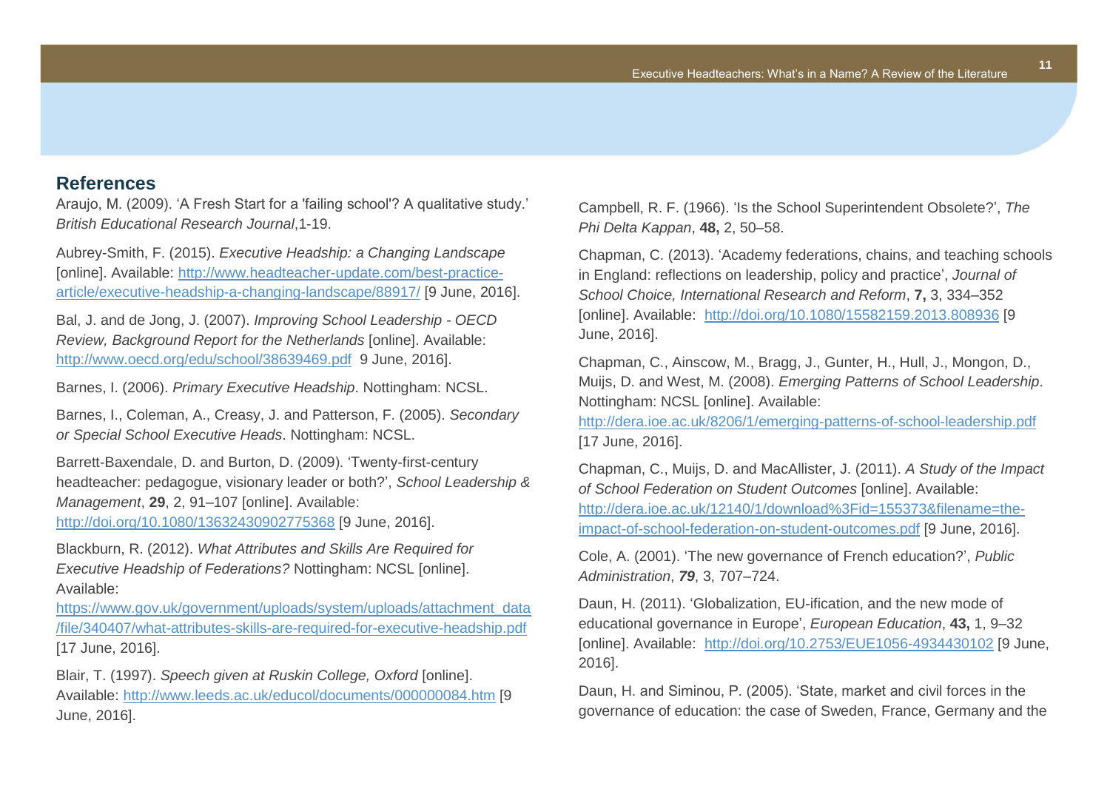### <span id="page-13-0"></span>**References**

Araujo, M. (2009). 'A Fresh Start for a 'failing school'? A qualitative study.' *British Educational Research Journal*,1-19.

Aubrey-Smith, F. (2015). *Executive Headship: a Changing Landscape* [online]. Available: [http://www.headteacher-update.com/best-practice](http://www.headteacher-update.com/best-practice-article/executive-headship-a-changing-landscape/88917/)[article/executive-headship-a-changing-landscape/88917/](http://www.headteacher-update.com/best-practice-article/executive-headship-a-changing-landscape/88917/) [9 June, 2016].

Bal, J. and de Jong, J. (2007). *Improving School Leadership - OECD Review, Background Report for the Netherlands* [online]. Available: <http://www.oecd.org/edu/school/38639469.pdf> 9 June, 2016].

Barnes, I. (2006). *Primary Executive Headship*. Nottingham: NCSL.

Barnes, I., Coleman, A., Creasy, J. and Patterson, F. (2005). *Secondary or Special School Executive Heads*. Nottingham: NCSL.

Barrett-Baxendale, D. and Burton, D. (2009). 'Twenty-first-century headteacher: pedagogue, visionary leader or both?', *School Leadership & Management*, **29**, 2, 91–107 [online]. Available:

<http://doi.org/10.1080/13632430902775368> [9 June, 2016].

Blackburn, R. (2012). *What Attributes and Skills Are Required for Executive Headship of Federations?* Nottingham: NCSL [online]. Available:

[https://www.gov.uk/government/uploads/system/uploads/attachment\\_data](https://www.gov.uk/government/uploads/system/uploads/attachment_data/file/340407/what-attributes-skills-are-required-for-executive-headship.pdf) [/file/340407/what-attributes-skills-are-required-for-executive-headship.pdf](https://www.gov.uk/government/uploads/system/uploads/attachment_data/file/340407/what-attributes-skills-are-required-for-executive-headship.pdf) [17 June, 2016].

Blair, T. (1997). *Speech given at Ruskin College, Oxford* [online]. Available: <http://www.leeds.ac.uk/educol/documents/000000084.htm> [9 June, 2016].

Campbell, R. F. (1966). 'Is the School Superintendent Obsolete?', *The Phi Delta Kappan*, **48,** 2, 50–58.

Chapman, C. (2013). 'Academy federations, chains, and teaching schools in England: reflections on leadership, policy and practice', *Journal of School Choice, International Research and Reform*, **7,** 3, 334–352 [online]. Available: <http://doi.org/10.1080/15582159.2013.808936> [9 June, 2016].

Chapman, C., Ainscow, M., Bragg, J., Gunter, H., Hull, J., Mongon, D., Muijs, D. and West, M. (2008). *Emerging Patterns of School Leadership*. Nottingham: NCSL [online]. Available:

<http://dera.ioe.ac.uk/8206/1/emerging-patterns-of-school-leadership.pdf> [17 June, 2016].

Chapman, C., Muijs, D. and MacAllister, J. (2011). *A Study of the Impact of School Federation on Student Outcomes* [online]. Available: [http://dera.ioe.ac.uk/12140/1/download%3Fid=155373&filename=the](http://dera.ioe.ac.uk/12140/1/download%3Fid=155373&filename=the-impact-of-school-federation-on-student-outcomes.pdf)[impact-of-school-federation-on-student-outcomes.pdf](http://dera.ioe.ac.uk/12140/1/download%3Fid=155373&filename=the-impact-of-school-federation-on-student-outcomes.pdf) [9 June, 2016].

Cole, A. (2001). 'The new governance of French education?', *Public Administration*, *79*, 3, 707–724.

Daun, H. (2011). 'Globalization, EU-ification, and the new mode of educational governance in Europe', *European Education*, **43,** 1, 9–32 [online]. Available: <http://doi.org/10.2753/EUE1056-4934430102> [9 June, 2016].

Daun, H. and Siminou, P. (2005). 'State, market and civil forces in the governance of education: the case of Sweden, France, Germany and the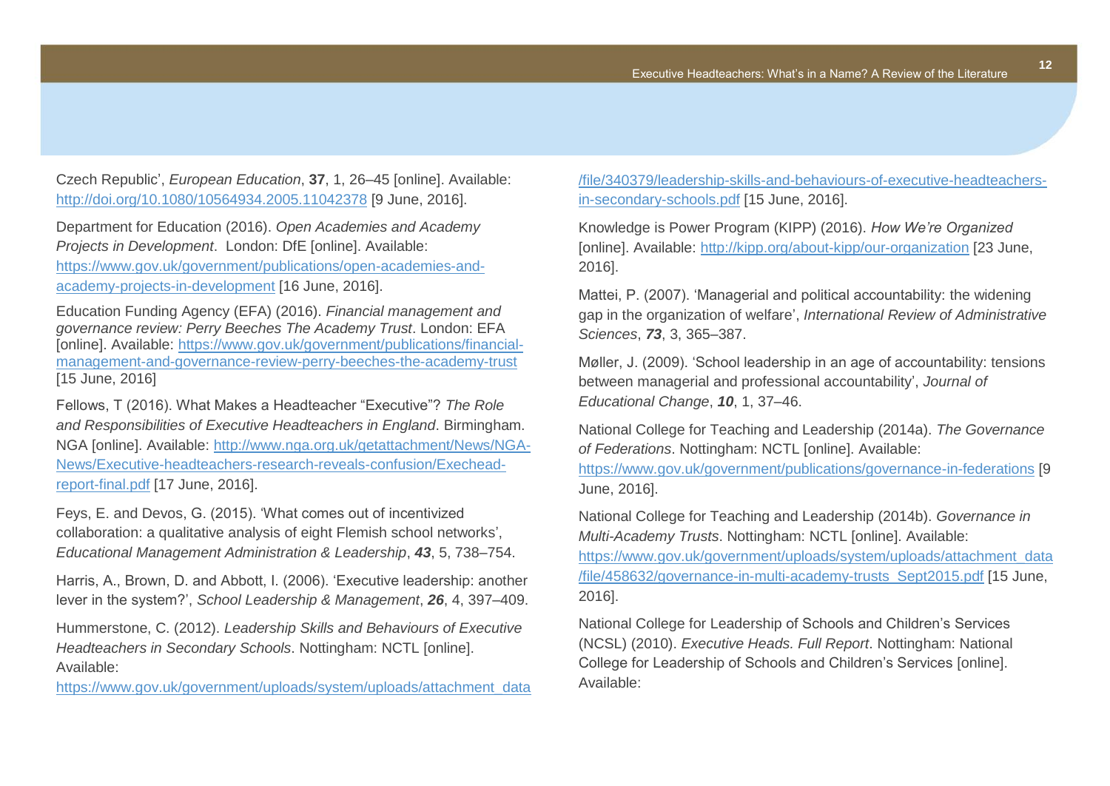Czech Republic', *European Education*, **37**, 1, 26–45 [online]. Available: <http://doi.org/10.1080/10564934.2005.11042378> [9 June, 2016].

Department for Education (2016). *Open Academies and Academy Projects in Development*. London: DfE [online]. Available: [https://www.gov.uk/government/publications/open-academies-and](https://www.gov.uk/government/publications/open-academies-and-academy-projects-in-development)[academy-projects-in-development](https://www.gov.uk/government/publications/open-academies-and-academy-projects-in-development) [16 June, 2016].

Education Funding Agency (EFA) (2016). *Financial management and governance review: Perry Beeches The Academy Trust*. London: EFA [online]. Available: [https://www.gov.uk/government/publications/financial](https://www.gov.uk/government/publications/financial-management-and-governance-review-perry-beeches-the-academy-trust)[management-and-governance-review-perry-beeches-the-academy-trust](https://www.gov.uk/government/publications/financial-management-and-governance-review-perry-beeches-the-academy-trust) [15 June, 2016]

Fellows, T (2016). What Makes a Headteacher "Executive"? *The Role and Responsibilities of Executive Headteachers in England*. Birmingham. NGA [online]. Available: [http://www.nga.org.uk/getattachment/News/NGA-](http://www.nga.org.uk/getattachment/News/NGA-News/Executive-headteachers-research-reveals-confusion/Exechead-report-final.pdf)[News/Executive-headteachers-research-reveals-confusion/Exechead](http://www.nga.org.uk/getattachment/News/NGA-News/Executive-headteachers-research-reveals-confusion/Exechead-report-final.pdf)[report-final.pdf](http://www.nga.org.uk/getattachment/News/NGA-News/Executive-headteachers-research-reveals-confusion/Exechead-report-final.pdf) [17 June, 2016].

Feys, E. and Devos, G. (2015). 'What comes out of incentivized collaboration: a qualitative analysis of eight Flemish school networks', *Educational Management Administration & Leadership*, *43*, 5, 738–754.

Harris, A., Brown, D. and Abbott, I. (2006). 'Executive leadership: another lever in the system?', *School Leadership & Management*, *26*, 4, 397–409.

Hummerstone, C. (2012). *Leadership Skills and Behaviours of Executive Headteachers in Secondary Schools*. Nottingham: NCTL [online]. Available:

[https://www.gov.uk/government/uploads/system/uploads/attachment\\_data](https://www.gov.uk/government/uploads/system/uploads/attachment_data/file/340379/leadership-skills-and-behaviours-of-executive-headteachers-in-secondary-schools.pdf)

[/file/340379/leadership-skills-and-behaviours-of-executive-headteachers](https://www.gov.uk/government/uploads/system/uploads/attachment_data/file/340379/leadership-skills-and-behaviours-of-executive-headteachers-in-secondary-schools.pdf)[in-secondary-schools.pdf](https://www.gov.uk/government/uploads/system/uploads/attachment_data/file/340379/leadership-skills-and-behaviours-of-executive-headteachers-in-secondary-schools.pdf) [15 June, 2016].

Knowledge is Power Program (KIPP) (2016). *How We're Organized* [online]. Available: <http://kipp.org/about-kipp/our-organization> [23 June, 2016].

Mattei, P. (2007). 'Managerial and political accountability: the widening gap in the organization of welfare', *International Review of Administrative Sciences*, *73*, 3, 365–387.

Møller, J. (2009). 'School leadership in an age of accountability: tensions between managerial and professional accountability', *Journal of Educational Change*, *10*, 1, 37–46.

National College for Teaching and Leadership (2014a). *The Governance of Federations*. Nottingham: NCTL [online]. Available:

<https://www.gov.uk/government/publications/governance-in-federations> [9 June, 2016].

National College for Teaching and Leadership (2014b). *Governance in Multi-Academy Trusts*. Nottingham: NCTL [online]. Available:

[https://www.gov.uk/government/uploads/system/uploads/attachment\\_data](https://www.gov.uk/government/uploads/system/uploads/attachment_data/file/458632/governance-in-multi-academy-trusts_Sept2015.pdf) [/file/458632/governance-in-multi-academy-trusts\\_Sept2015.pdf](https://www.gov.uk/government/uploads/system/uploads/attachment_data/file/458632/governance-in-multi-academy-trusts_Sept2015.pdf) [15 June, 2016].

National College for Leadership of Schools and Children's Services (NCSL) (2010). *Executive Heads. Full Report*. Nottingham: National College for Leadership of Schools and Children's Services [online]. Available: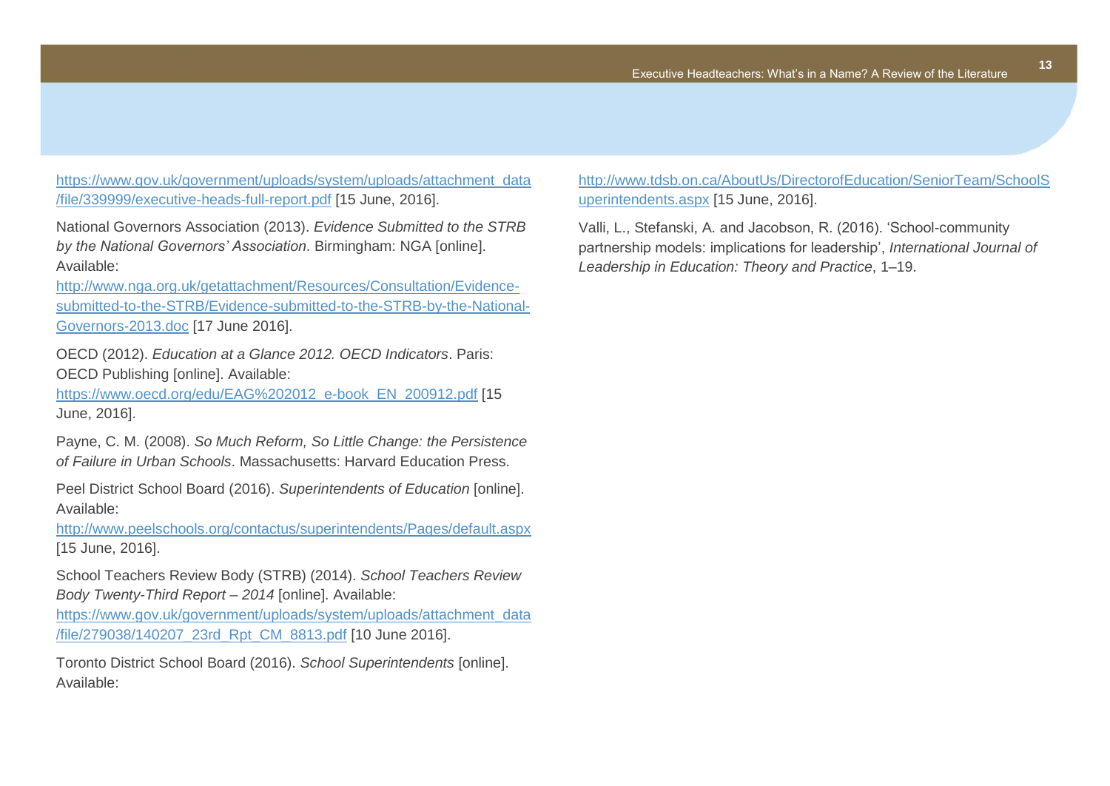[https://www.gov.uk/government/uploads/system/uploads/attachment\\_data](https://www.gov.uk/government/uploads/system/uploads/attachment_data/file/339999/executive-heads-full-report.pdf) [/file/339999/executive-heads-full-report.pdf](https://www.gov.uk/government/uploads/system/uploads/attachment_data/file/339999/executive-heads-full-report.pdf) [15 June, 2016].

National Governors Association (2013). *Evidence Submitted to the STRB by the National Governors' Association*. Birmingham: NGA [online]. Available:

[http://www.nga.org.uk/getattachment/Resources/Consultation/Evidence](http://www.nga.org.uk/getattachment/Resources/Consultation/Evidence-submitted-to-the-STRB/Evidence-submitted-to-the-STRB-by-the-National-Governors-2013.doc)[submitted-to-the-STRB/Evidence-submitted-to-the-STRB-by-the-National-](http://www.nga.org.uk/getattachment/Resources/Consultation/Evidence-submitted-to-the-STRB/Evidence-submitted-to-the-STRB-by-the-National-Governors-2013.doc)[Governors-2013.doc](http://www.nga.org.uk/getattachment/Resources/Consultation/Evidence-submitted-to-the-STRB/Evidence-submitted-to-the-STRB-by-the-National-Governors-2013.doc) [17 June 2016].

OECD (2012). *Education at a Glance 2012. OECD Indicators*. Paris: OECD Publishing [online]. Available:

[https://www.oecd.org/edu/EAG%202012\\_e-book\\_EN\\_200912.pdf](https://www.oecd.org/edu/EAG%202012_e-book_EN_200912.pdf) [15 June, 2016].

Payne, C. M. (2008). *So Much Reform, So Little Change: the Persistence of Failure in Urban Schools*. Massachusetts: Harvard Education Press.

Peel District School Board (2016). *Superintendents of Education* [online]. Available:

<http://www.peelschools.org/contactus/superintendents/Pages/default.aspx> [15 June, 2016].

School Teachers Review Body (STRB) (2014). *School Teachers Review Body Twenty-Third Report – 2014* [online]. Available:

[https://www.gov.uk/government/uploads/system/uploads/attachment\\_data](https://www.gov.uk/government/uploads/system/uploads/attachment_data/file/279038/140207_23rd_Rpt_CM_8813.pdf) [/file/279038/140207\\_23rd\\_Rpt\\_CM\\_8813.pdf](https://www.gov.uk/government/uploads/system/uploads/attachment_data/file/279038/140207_23rd_Rpt_CM_8813.pdf) [10 June 2016].

Toronto District School Board (2016). *School Superintendents* [online]. Available:

[http://www.tdsb.on.ca/AboutUs/DirectorofEducation/SeniorTeam/SchoolS](http://www.tdsb.on.ca/AboutUs/DirectorofEducation/SeniorTeam/SchoolSuperintendents.aspx) [uperintendents.aspx](http://www.tdsb.on.ca/AboutUs/DirectorofEducation/SeniorTeam/SchoolSuperintendents.aspx) [15 June, 2016].

Valli, L., Stefanski, A. and Jacobson, R. (2016). 'School-community partnership models: implications for leadership', *International Journal of Leadership in Education: Theory and Practice*, 1–19.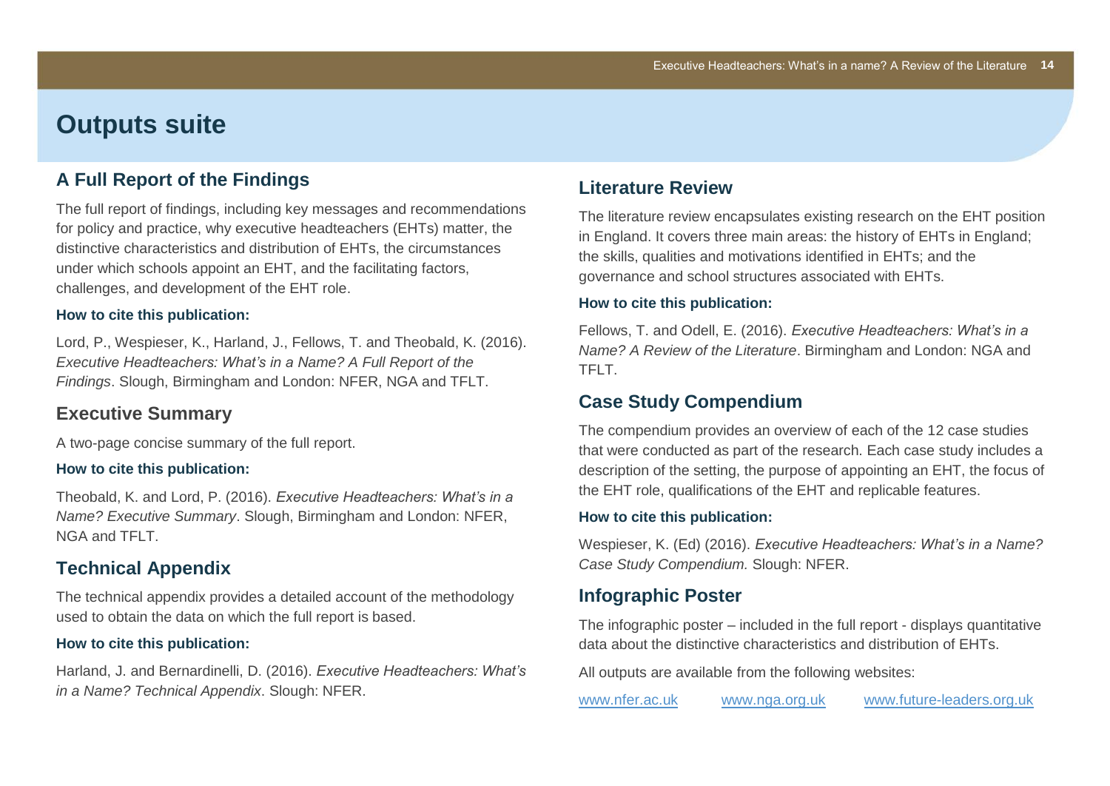# **Outputs suite**

#### **A Full Report of the Findings**

The full report of findings, including key messages and recommendations for policy and practice, why executive headteachers (EHTs) matter, the distinctive characteristics and distribution of EHTs, the circumstances under which schools appoint an EHT, and the facilitating factors, challenges, and development of the EHT role.

#### **How to cite this publication:**

Lord, P., Wespieser, K., Harland, J., Fellows, T. and Theobald, K. (2016). *Executive Headteachers: What's in a Name? A Full Report of the Findings*. Slough, Birmingham and London: NFER, NGA and TFLT.

#### **Executive Summary**

A two-page concise summary of the full report.

#### **How to cite this publication:**

Theobald, K. and Lord, P. (2016). *Executive Headteachers: What's in a Name? Executive Summary*. Slough, Birmingham and London: NFER, NGA and TFLT.

#### **Technical Appendix**

The technical appendix provides a detailed account of the methodology used to obtain the data on which the full report is based.

#### **How to cite this publication:**

Harland, J. and Bernardinelli, D. (2016). *Executive Headteachers: What's in a Name? Technical Appendix*. Slough: NFER.

#### **Literature Review**

The literature review encapsulates existing research on the EHT position in England. It covers three main areas: the history of EHTs in England; the skills, qualities and motivations identified in EHTs; and the governance and school structures associated with EHTs.

#### **How to cite this publication:**

Fellows, T. and Odell, E. (2016). *Executive Headteachers: What's in a Name? A Review of the Literature*. Birmingham and London: NGA and TFLT.

## **Case Study Compendium**

The compendium provides an overview of each of the 12 case studies that were conducted as part of the research. Each case study includes a description of the setting, the purpose of appointing an EHT, the focus of the EHT role, qualifications of the EHT and replicable features.

#### **How to cite this publication:**

Wespieser, K. (Ed) (2016). *Executive Headteachers: What's in a Name? Case Study Compendium.* Slough: NFER.

#### **Infographic Poster**

The infographic poster – included in the full report - displays quantitative data about the distinctive characteristics and distribution of EHTs.

All outputs are available from the following websites:

[www.nfer.ac.uk](http://www.nfer.ac.uk/) [www.nga.org.uk](http://www.nga.org.uk/) [www.future-leaders.org.uk](http://www.future-leaders.org.uk/)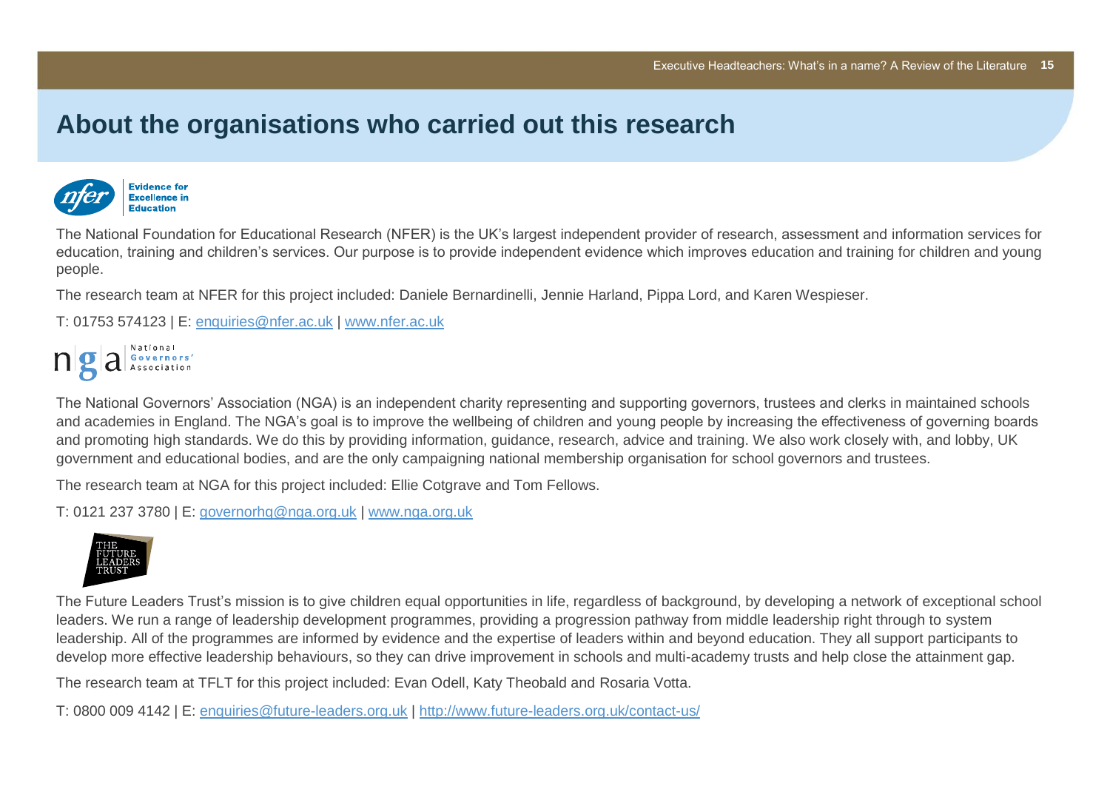# **About the organisations who carried out this research**



The National Foundation for Educational Research (NFER) is the UK's largest independent provider of research, assessment and information services for education, training and children's services. Our purpose is to provide independent evidence which improves education and training for children and young people.

The research team at NFER for this project included: Daniele Bernardinelli, Jennie Harland, Pippa Lord, and Karen Wespieser.

T: 01753 574123 | E: [enquiries@nfer.ac.uk](mailto:enquiries@nfer.ac.uk) | [www.nfer.ac.uk](http://www.nfer.ac.uk/)



The National Governors' Association (NGA) is an independent charity representing and supporting governors, trustees and clerks in maintained schools and academies in England. The NGA's goal is to improve the wellbeing of children and young people by increasing the effectiveness of governing boards and promoting high standards. We do this by providing information, guidance, research, advice and training. We also work closely with, and lobby, UK government and educational bodies, and are the only campaigning national membership organisation for school governors and trustees.

The research team at NGA for this project included: Ellie Cotgrave and Tom Fellows.

T: 0121 237 3780 | E: [governorhq@nga.org.uk](mailto:governorhq@nga.org.uk) | [www.nga.org.uk](file://Exchange/company/Communications/1%20Projects/025%20Guidance%20docs/www.nga.org.uk)



The Future Leaders Trust's mission is to give children equal opportunities in life, regardless of background, by developing a network of exceptional school leaders. We run a range of leadership development programmes, providing a progression pathway from middle leadership right through to system leadership. All of the programmes are informed by evidence and the expertise of leaders within and beyond education. They all support participants to develop more effective leadership behaviours, so they can drive improvement in schools and multi-academy trusts and help close the attainment gap.

The research team at TFLT for this project included: Evan Odell, Katy Theobald and Rosaria Votta.

T: 0800 009 4142 | E: [enquiries@future-leaders.org.uk](mailto:enquiries@future-leaders.org.uk) | <http://www.future-leaders.org.uk/contact-us/>